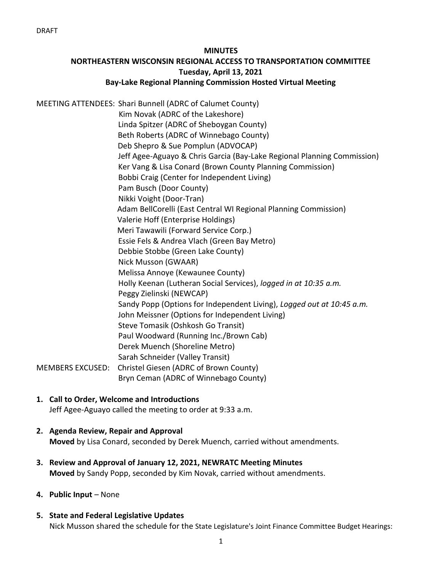#### **MINUTES**

# **NORTHEASTERN WISCONSIN REGIONAL ACCESS TO TRANSPORTATION COMMITTEE Tuesday, April 13, 2021 Bay-Lake Regional Planning Commission Hosted Virtual Meeting**

MEETING ATTENDEES: Shari Bunnell (ADRC of Calumet County) Kim Novak (ADRC of the Lakeshore) Linda Spitzer (ADRC of Sheboygan County) Beth Roberts (ADRC of Winnebago County) Deb Shepro & Sue Pomplun (ADVOCAP) Jeff Agee-Aguayo & Chris Garcia (Bay-Lake Regional Planning Commission) Ker Vang & Lisa Conard (Brown County Planning Commission) Bobbi Craig (Center for Independent Living) Pam Busch (Door County) Nikki Voight (Door-Tran) Adam BellCorelli (East Central WI Regional Planning Commission) Valerie Hoff (Enterprise Holdings) Meri Tawawili (Forward Service Corp.) Essie Fels & Andrea Vlach (Green Bay Metro) Debbie Stobbe (Green Lake County) Nick Musson (GWAAR) Melissa Annoye (Kewaunee County) Holly Keenan (Lutheran Social Services), *logged in at 10:35 a.m.* Peggy Zielinski (NEWCAP) Sandy Popp (Options for Independent Living), *Logged out at 10:45 a.m.* John Meissner (Options for Independent Living) Steve Tomasik (Oshkosh Go Transit) Paul Woodward (Running Inc./Brown Cab) Derek Muench (Shoreline Metro) Sarah Schneider (Valley Transit) MEMBERS EXCUSED: Christel Giesen (ADRC of Brown County) Bryn Ceman (ADRC of Winnebago County)

- **1. Call to Order, Welcome and Introductions** Jeff Agee-Aguayo called the meeting to order at 9:33 a.m.
- **2. Agenda Review, Repair and Approval Moved** by Lisa Conard, seconded by Derek Muench, carried without amendments.
- **3. Review and Approval of January 12, 2021, NEWRATC Meeting Minutes Moved** by Sandy Popp, seconded by Kim Novak, carried without amendments.
- **4. Public Input**  None
- **5. State and Federal Legislative Updates** Nick Musson shared the schedule for the State Legislature's Joint Finance Committee Budget Hearings: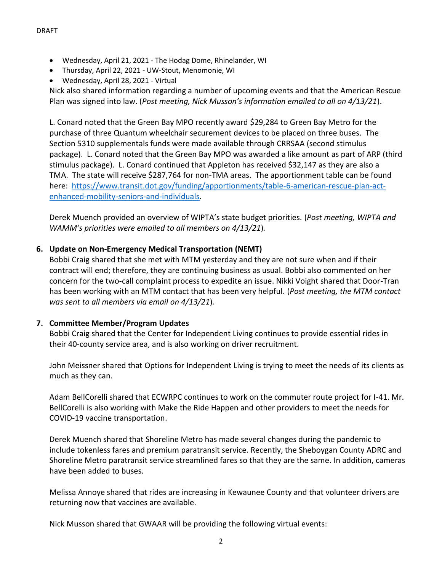- Wednesday, April 21, 2021 The Hodag Dome, Rhinelander, WI
- Thursday, April 22, 2021 UW-Stout, Menomonie, WI
- Wednesday, April 28, 2021 Virtual

Nick also shared information regarding a number of upcoming events and that the American Rescue Plan was signed into law. (*Post meeting, Nick Musson's information emailed to all on 4/13/21*).

L. Conard noted that the Green Bay MPO recently award \$29,284 to Green Bay Metro for the purchase of three Quantum wheelchair securement devices to be placed on three buses. The Section 5310 supplementals funds were made available through CRRSAA (second stimulus package). L. Conard noted that the Green Bay MPO was awarded a like amount as part of ARP (third stimulus package). L. Conard continued that Appleton has received \$32,147 as they are also a TMA. The state will receive \$287,764 for non-TMA areas. The apportionment table can be found here: [https://www.transit.dot.gov/funding/apportionments/table-6-american-rescue-plan-act](https://gcc02.safelinks.protection.outlook.com/?url=https%3A%2F%2Fwww.transit.dot.gov%2Ffunding%2Fapportionments%2Ftable-6-american-rescue-plan-act-enhanced-mobility-seniors-and-individuals&data=04%7C01%7Clisa.conard%40browncountywi.gov%7Ccb516b03f65e48ac71a408d8feb87960%7Cd4d3bbdf23b140e786d2ef5cd2bdb817%7C1%7C0%7C637539416924686018%7CUnknown%7CTWFpbGZsb3d8eyJWIjoiMC4wLjAwMDAiLCJQIjoiV2luMzIiLCJBTiI6Ik1haWwiLCJXVCI6Mn0%3D%7C1000&sdata=YQwAudXQnySUCedKqi9oJN71OHmqGYuG6tu%2BMQEIRgg%3D&reserved=0)[enhanced-mobility-seniors-and-individuals.](https://gcc02.safelinks.protection.outlook.com/?url=https%3A%2F%2Fwww.transit.dot.gov%2Ffunding%2Fapportionments%2Ftable-6-american-rescue-plan-act-enhanced-mobility-seniors-and-individuals&data=04%7C01%7Clisa.conard%40browncountywi.gov%7Ccb516b03f65e48ac71a408d8feb87960%7Cd4d3bbdf23b140e786d2ef5cd2bdb817%7C1%7C0%7C637539416924686018%7CUnknown%7CTWFpbGZsb3d8eyJWIjoiMC4wLjAwMDAiLCJQIjoiV2luMzIiLCJBTiI6Ik1haWwiLCJXVCI6Mn0%3D%7C1000&sdata=YQwAudXQnySUCedKqi9oJN71OHmqGYuG6tu%2BMQEIRgg%3D&reserved=0)

Derek Muench provided an overview of WIPTA's state budget priorities. (*Post meeting, WIPTA and WAMM's priorities were emailed to all members on 4/13/21*)*.*

## **6. Update on Non-Emergency Medical Transportation (NEMT)**

Bobbi Craig shared that she met with MTM yesterday and they are not sure when and if their contract will end; therefore, they are continuing business as usual. Bobbi also commented on her concern for the two-call complaint process to expedite an issue. Nikki Voight shared that Door-Tran has been working with an MTM contact that has been very helpful. (*Post meeting, the MTM contact was sent to all members via email on 4/13/21*)*.*

### **7. Committee Member/Program Updates**

Bobbi Craig shared that the Center for Independent Living continues to provide essential rides in their 40-county service area, and is also working on driver recruitment.

John Meissner shared that Options for Independent Living is trying to meet the needs of its clients as much as they can.

Adam BellCorelli shared that ECWRPC continues to work on the commuter route project for I-41. Mr. BellCorelli is also working with Make the Ride Happen and other providers to meet the needs for COVID-19 vaccine transportation.

Derek Muench shared that Shoreline Metro has made several changes during the pandemic to include tokenless fares and premium paratransit service. Recently, the Sheboygan County ADRC and Shoreline Metro paratransit service streamlined fares so that they are the same. In addition, cameras have been added to buses.

Melissa Annoye shared that rides are increasing in Kewaunee County and that volunteer drivers are returning now that vaccines are available.

Nick Musson shared that GWAAR will be providing the following virtual events: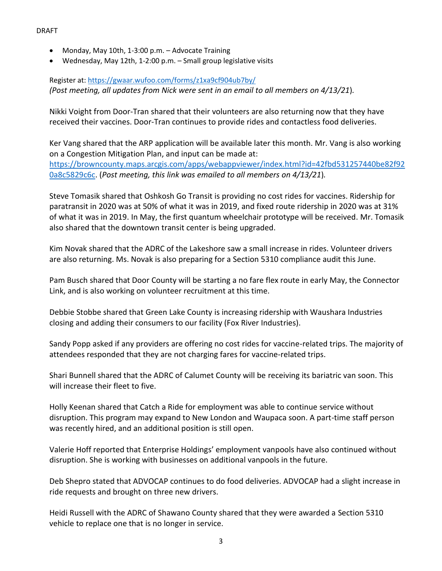- Monday, May 10th, 1-3:00 p.m. Advocate Training
- Wednesday, May 12th, 1-2:00 p.m. Small group legislative visits

## Register at[: https://gwaar.wufoo.com/forms/z1xa9cf904ub7by/](https://gwaar.wufoo.com/forms/z1xa9cf904ub7by/) *(Post meeting, all updates from Nick were sent in an email to all members on 4/13/21*)*.*

Nikki Voight from Door-Tran shared that their volunteers are also returning now that they have received their vaccines. Door-Tran continues to provide rides and contactless food deliveries.

Ker Vang shared that the ARP application will be available later this month. Mr. Vang is also working on a Congestion Mitigation Plan, and input can be made at: [https://browncounty.maps.arcgis.com/apps/webappviewer/index.html?id=42fbd531257440be82f92](https://browncounty.maps.arcgis.com/apps/webappviewer/index.html?id=42fbd531257440be82f920a8c5829c6c) [0a8c5829c6c.](https://browncounty.maps.arcgis.com/apps/webappviewer/index.html?id=42fbd531257440be82f920a8c5829c6c) (*Post meeting, this link was emailed to all members on 4/13/21*)*.*

Steve Tomasik shared that Oshkosh Go Transit is providing no cost rides for vaccines. Ridership for paratransit in 2020 was at 50% of what it was in 2019, and fixed route ridership in 2020 was at 31% of what it was in 2019. In May, the first quantum wheelchair prototype will be received. Mr. Tomasik also shared that the downtown transit center is being upgraded.

Kim Novak shared that the ADRC of the Lakeshore saw a small increase in rides. Volunteer drivers are also returning. Ms. Novak is also preparing for a Section 5310 compliance audit this June.

Pam Busch shared that Door County will be starting a no fare flex route in early May, the Connector Link, and is also working on volunteer recruitment at this time.

Debbie Stobbe shared that Green Lake County is increasing ridership with Waushara Industries closing and adding their consumers to our facility (Fox River Industries).

Sandy Popp asked if any providers are offering no cost rides for vaccine-related trips. The majority of attendees responded that they are not charging fares for vaccine-related trips.

Shari Bunnell shared that the ADRC of Calumet County will be receiving its bariatric van soon. This will increase their fleet to five.

Holly Keenan shared that Catch a Ride for employment was able to continue service without disruption. This program may expand to New London and Waupaca soon. A part-time staff person was recently hired, and an additional position is still open.

Valerie Hoff reported that Enterprise Holdings' employment vanpools have also continued without disruption. She is working with businesses on additional vanpools in the future.

Deb Shepro stated that ADVOCAP continues to do food deliveries. ADVOCAP had a slight increase in ride requests and brought on three new drivers.

Heidi Russell with the ADRC of Shawano County shared that they were awarded a Section 5310 vehicle to replace one that is no longer in service.